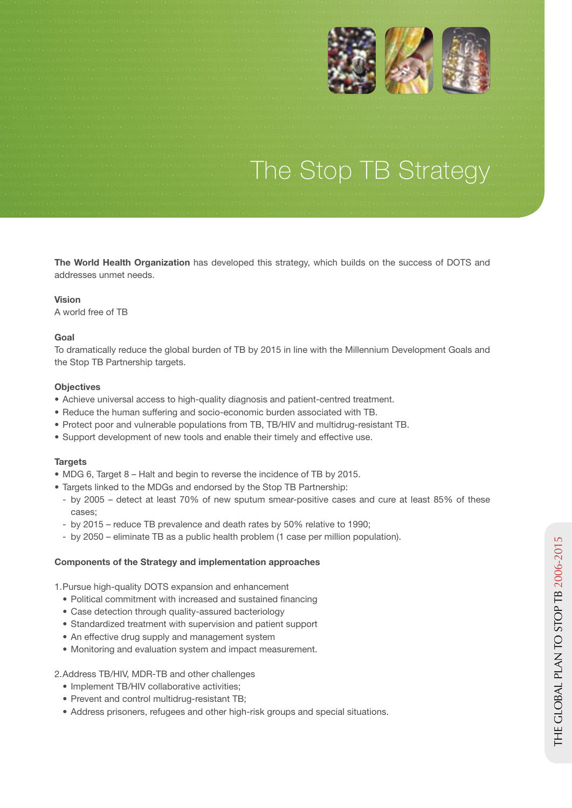

#### est+treat+reach+innovate+advocate+hope+act+commit+collabor+<mark>ia+ache(e^‡}ac</mark>eat+reac)+{{{^**}}}**est+ac}ach+commit+commit EST+TREAT+REACH+INNOVATE+ADVOCATE+HOPE+ACT+COMMIT+COLLABORANDOLABORANDOLABORANDOLABORANDOLABORANDOLABORANDOLABORANDOLABORANDOLABORANDOLABORANDOLABORANDOLABORANDOLABORANDOLABORANDOLABORANDOLABORANDOLABORANDOLABORANDOLABORAN DVOCATE•HOPE•ACT•COMMIT•COLLABORATE•ACHIEVE•INVEST•TREAT•REACH•INNOVATE•ADVOCATE•HOPE•ACT•COMMIT•COLLABOHATE•ACHIEVE•INVES

**The World Health Organization** has developed this strategy, which builds on the success of DOTS and addresses unmet needs.

OLLABORATE\*ACHIEVE\*INVEST\*TREAT\*REACH\*INNOVATE\*ADVOCATE\*HOPE\*ACT\*COMMIT\*COLLABORATE\*ACHIEVE\*INVEST\*TREAT\*REACH\*INNOVATE\*AD OCATE\*HOPE\*ACT\*COMMIT\*COLLABORATE\*ACHIEVE\*INVEST\*TREAT\*REACH\*INNOVATE\*ADVOCATE\*HOPE\*ACT\*COMMIT\*COLLABORATE\*ACHIEVE\*INVC

### **Vision**

A world free of TB

# **Goal**

To dramatically reduce the global burden of TB by 2015 in line with the Millennium Development Goals and the Stop TB Partnership targets.

### **Objectives**

- Achieve universal access to high-quality diagnosis and patient-centred treatment.
- Reduce the human suffering and socio-economic burden associated with TB.
- Protect poor and vulnerable populations from TB, TB/HIV and multidrug-resistant TB.
- Support development of new tools and enable their timely and effective use.

### **Targets**

- MDG 6, Target 8 Halt and begin to reverse the incidence of TB by 2015.
- Targets linked to the MDGs and endorsed by the Stop TB Partnership:
	- by 2005 detect at least 70% of new sputum smear-positive cases and cure at least 85% of these cases;
	- by 2015 reduce TB prevalence and death rates by 50% relative to 1990;
	- by 2050 eliminate TB as a public health problem (1 case per million population).

## **Components of the Strategy and implementation approaches**

1. Pursue high-quality DOTS expansion and enhancement

- Political commitment with increased and sustained financing
- Case detection through quality-assured bacteriology
- Standardized treatment with supervision and patient support
- An effective drug supply and management system
- Monitoring and evaluation system and impact measurement.

2. Address TB/HIV, MDR-TB and other challenges

- Implement TB/HIV collaborative activities;
- Prevent and control multidrug-resistant TB;
- Address prisoners, refugees and other high-risk groups and special situations.